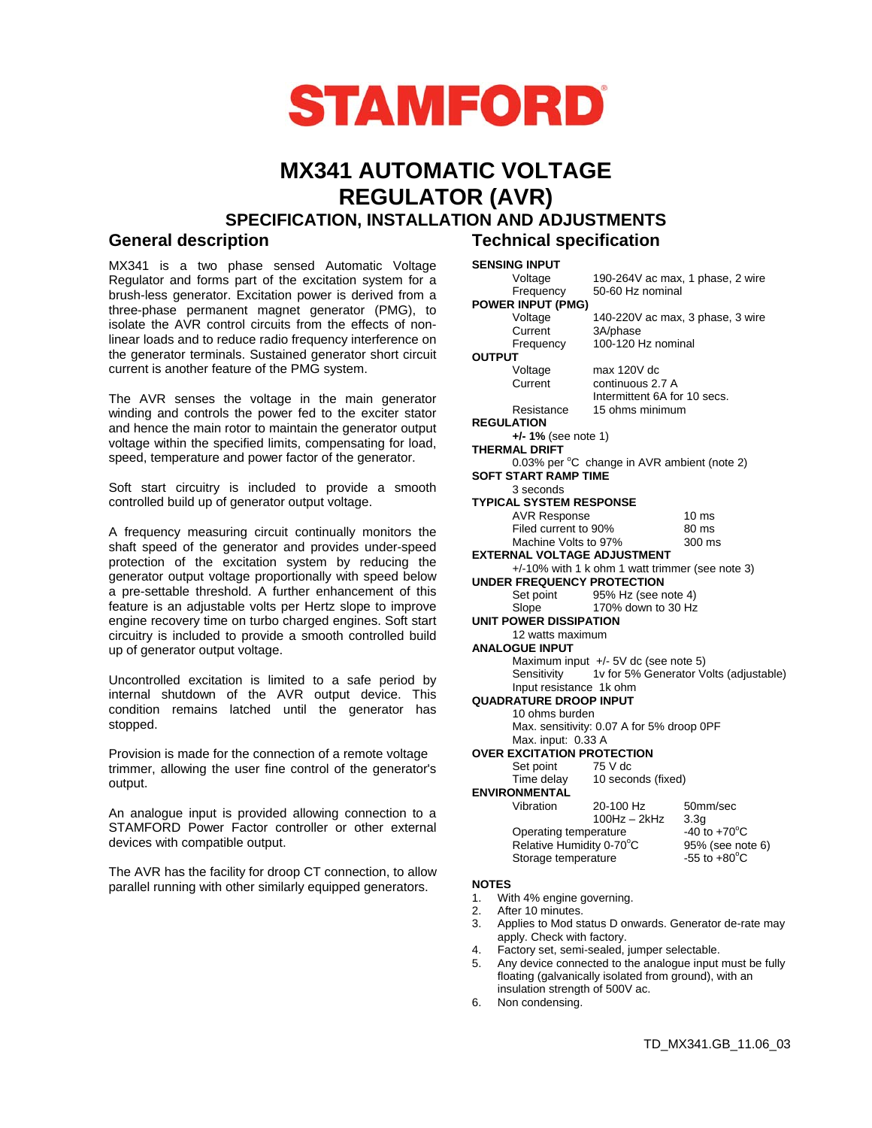

# **MX341 AUTOMATIC VOLTAGE REGULATOR (AVR) SPECIFICATION, INSTALLATION AND ADJUSTMENTS General description Technical specification**

MX341 is a two phase sensed Automatic Voltage Regulator and forms part of the excitation system for a brush-less generator. Excitation power is derived from a three-phase permanent magnet generator (PMG), to isolate the AVR control circuits from the effects of nonlinear loads and to reduce radio frequency interference on the generator terminals. Sustained generator short circuit current is another feature of the PMG system.

The AVR senses the voltage in the main generator winding and controls the power fed to the exciter stator and hence the main rotor to maintain the generator output voltage within the specified limits, compensating for load, speed, temperature and power factor of the generator.

Soft start circuitry is included to provide a smooth controlled build up of generator output voltage.

A frequency measuring circuit continually monitors the shaft speed of the generator and provides under-speed protection of the excitation system by reducing the generator output voltage proportionally with speed below a pre-settable threshold. A further enhancement of this feature is an adjustable volts per Hertz slope to improve engine recovery time on turbo charged engines. Soft start circuitry is included to provide a smooth controlled build up of generator output voltage.

Uncontrolled excitation is limited to a safe period by internal shutdown of the AVR output device. This condition remains latched until the generator has stopped.

Provision is made for the connection of a remote voltage trimmer, allowing the user fine control of the generator's output.

An analogue input is provided allowing connection to a STAMFORD Power Factor controller or other external devices with compatible output.

The AVR has the facility for droop CT connection, to allow parallel running with other similarly equipped generators.

| <b>SENSING INPUT</b>                               |                                        |                                            |  |  |
|----------------------------------------------------|----------------------------------------|--------------------------------------------|--|--|
| Voltage                                            | 190-264V ac max, 1 phase, 2 wire       |                                            |  |  |
| Frequency                                          | 50-60 Hz nominal                       |                                            |  |  |
| <b>POWER INPUT (PMG)</b>                           |                                        |                                            |  |  |
| Voltage                                            |                                        | 140-220V ac max, 3 phase, 3 wire           |  |  |
| Current                                            | 3A/phase                               |                                            |  |  |
| Frequency                                          | 100-120 Hz nominal                     |                                            |  |  |
| <b>OUTPUT</b>                                      |                                        |                                            |  |  |
| Voltage                                            | max 120V dc                            |                                            |  |  |
| Current                                            | continuous 2.7 A                       |                                            |  |  |
|                                                    | Intermittent 6A for 10 secs.           |                                            |  |  |
| Resistance                                         | 15 ohms minimum                        |                                            |  |  |
| <b>REGULATION</b>                                  |                                        |                                            |  |  |
|                                                    |                                        |                                            |  |  |
| $+/- 1\%$ (see note 1)                             |                                        |                                            |  |  |
| <b>THERMAL DRIFT</b>                               |                                        |                                            |  |  |
| 0.03% per °C change in AVR ambient (note 2)        |                                        |                                            |  |  |
| <b>SOFT START RAMP TIME</b>                        |                                        |                                            |  |  |
| 3 seconds                                          |                                        |                                            |  |  |
| <b>TYPICAL SYSTEM RESPONSE</b>                     |                                        |                                            |  |  |
| <b>AVR Response</b>                                |                                        | 10 <sub>ms</sub>                           |  |  |
| Filed current to 90%                               |                                        | 80 ms                                      |  |  |
| Machine Volts to 97%                               |                                        | 300 ms                                     |  |  |
| <b>EXTERNAL VOLTAGE ADJUSTMENT</b>                 |                                        |                                            |  |  |
| $+/-10\%$ with 1 k ohm 1 watt trimmer (see note 3) |                                        |                                            |  |  |
| <b>UNDER FREQUENCY PROTECTION</b>                  |                                        |                                            |  |  |
|                                                    | Set point 95% Hz (see note 4)          |                                            |  |  |
| Slope                                              | 170% down to 30 Hz                     |                                            |  |  |
| UNIT POWER DISSIPATION                             |                                        |                                            |  |  |
| 12 watts maximum                                   |                                        |                                            |  |  |
| <b>ANALOGUE INPUT</b>                              |                                        |                                            |  |  |
|                                                    | Maximum input +/- 5V dc (see note 5)   |                                            |  |  |
| Sensitivity                                        | 1v for 5% Generator Volts (adjustable) |                                            |  |  |
| Input resistance 1k ohm                            |                                        |                                            |  |  |
| <b>QUADRATURE DROOP INPUT</b>                      |                                        |                                            |  |  |
| 10 ohms burden                                     |                                        |                                            |  |  |
| Max. sensitivity: 0.07 A for 5% droop 0PF          |                                        |                                            |  |  |
| Max. input: 0.33 A                                 |                                        |                                            |  |  |
| <b>OVER EXCITATION PROTECTION</b>                  |                                        |                                            |  |  |
| Set point                                          | 75 V dc                                |                                            |  |  |
|                                                    | Time delay 10 seconds (fixed)          |                                            |  |  |
| <b>ENVIRONMENTAL</b>                               |                                        |                                            |  |  |
| Vibration                                          | 20-100 Hz                              | 50mm/sec                                   |  |  |
|                                                    |                                        |                                            |  |  |
|                                                    | $100Hz - 2kHz$                         | 3.3 <sub>q</sub><br>-40 to $+70^{\circ}$ C |  |  |
|                                                    | Operating temperature                  |                                            |  |  |
| Relative Humidity 0-70°C<br>Storage temperature    |                                        | 95% (see note 6)<br>-55 to $+80^{\circ}$ C |  |  |
|                                                    |                                        |                                            |  |  |
| NOTES                                              |                                        |                                            |  |  |

### **NOTES**

- 1. With 4% engine governing.<br>2. After 10 minutes
- 2. After 10 minutes.<br>3. Applies to Mod st
- Applies to Mod status D onwards. Generator de-rate may apply. Check with factory.
- 4. Factory set, semi-sealed, jumper selectable.<br>5. Any device connected to the analogue input
- Any device connected to the analogue input must be fully floating (galvanically isolated from ground), with an insulation strength of 500V ac.
- 6. Non condensing.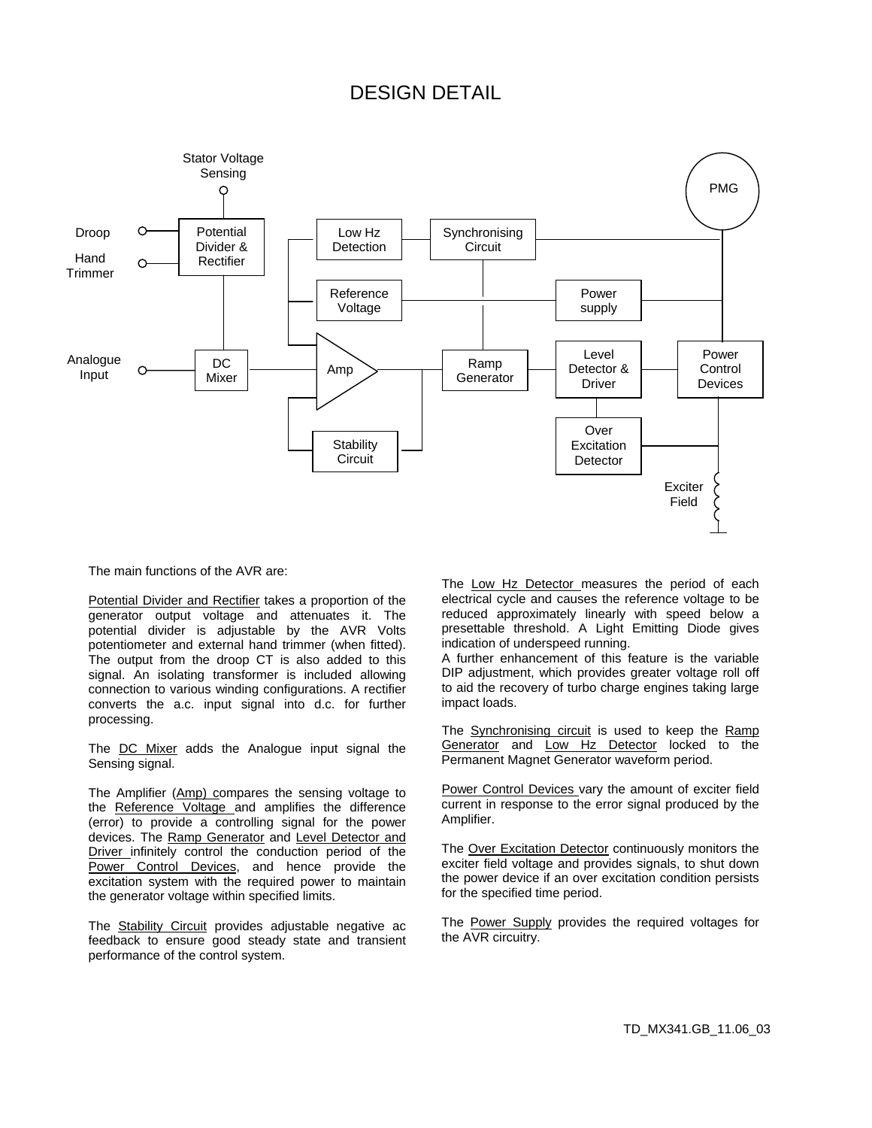# DESIGN DETAIL



The main functions of the AVR are:

Potential Divider and Rectifier takes a proportion of the generator output voltage and attenuates it. The potential divider is adjustable by the AVR Volts potentiometer and external hand trimmer (when fitted). The output from the droop CT is also added to this signal. An isolating transformer is included allowing connection to various winding configurations. A rectifier converts the a.c. input signal into d.c. for further processing.

The DC Mixer adds the Analogue input signal the Sensing signal.

The Amplifier (Amp) compares the sensing voltage to the Reference Voltage and amplifies the difference (error) to provide a controlling signal for the power devices. The Ramp Generator and Level Detector and Driver infinitely control the conduction period of the Power Control Devices, and hence provide the excitation system with the required power to maintain the generator voltage within specified limits.

The Stability Circuit provides adjustable negative ac feedback to ensure good steady state and transient performance of the control system.

The Low Hz Detector measures the period of each electrical cycle and causes the reference voltage to be reduced approximately linearly with speed below a presettable threshold. A Light Emitting Diode gives indication of underspeed running.

A further enhancement of this feature is the variable DIP adjustment, which provides greater voltage roll off to aid the recovery of turbo charge engines taking large impact loads.

The Synchronising circuit is used to keep the Ramp Generator and Low Hz Detector locked to the Permanent Magnet Generator waveform period.

Power Control Devices vary the amount of exciter field current in response to the error signal produced by the Amplifier.

The Over Excitation Detector continuously monitors the exciter field voltage and provides signals, to shut down the power device if an over excitation condition persists for the specified time period.

The Power Supply provides the required voltages for the AVR circuitry.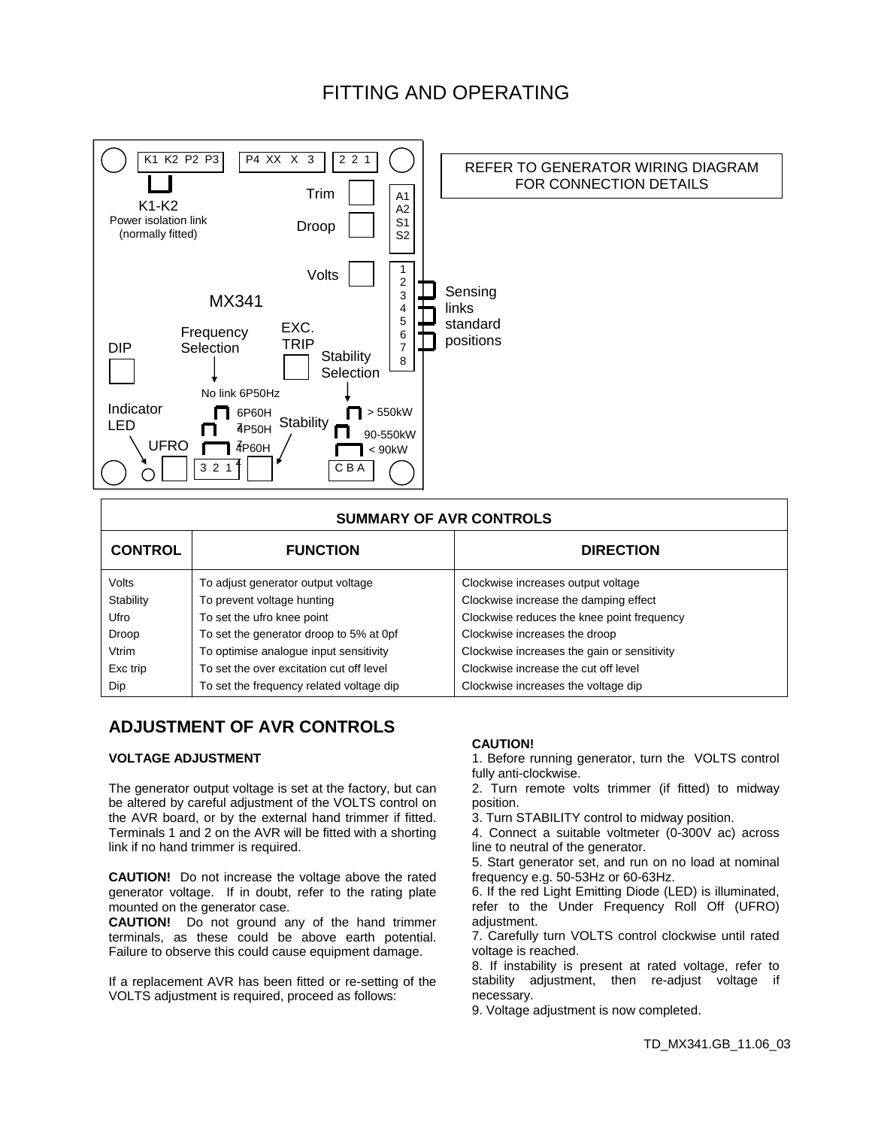# FITTING AND OPERATING



| <b>SUMMARY OF AVR CONTROLS</b> |                                          |                                             |  |
|--------------------------------|------------------------------------------|---------------------------------------------|--|
| <b>CONTROL</b>                 | <b>FUNCTION</b>                          | <b>DIRECTION</b>                            |  |
| <b>Volts</b>                   | To adjust generator output voltage       | Clockwise increases output voltage          |  |
| Stability                      | To prevent voltage hunting               | Clockwise increase the damping effect       |  |
| Ufro                           | To set the ufro knee point               | Clockwise reduces the knee point frequency  |  |
| Droop                          | To set the generator droop to 5% at 0pf  | Clockwise increases the droop               |  |
| Vtrim                          | To optimise analogue input sensitivity   | Clockwise increases the gain or sensitivity |  |
| Exc trip                       | To set the over excitation cut off level | Clockwise increase the cut off level        |  |
| Dip                            | To set the frequency related voltage dip | Clockwise increases the voltage dip         |  |

# **ADJUSTMENT OF AVR CONTROLS**

### **VOLTAGE ADJUSTMENT**

The generator output voltage is set at the factory, but can be altered by careful adjustment of the VOLTS control on the AVR board, or by the external hand trimmer if fitted. Terminals 1 and 2 on the AVR will be fitted with a shorting link if no hand trimmer is required.

**CAUTION!** Do not increase the voltage above the rated generator voltage. If in doubt, refer to the rating plate mounted on the generator case.

**CAUTION!** Do not ground any of the hand trimmer terminals, as these could be above earth potential. Failure to observe this could cause equipment damage.

If a replacement AVR has been fitted or re-setting of the VOLTS adjustment is required, proceed as follows:

## **CAUTION!**

1. Before running generator, turn the VOLTS control fully anti-clockwise.

2. Turn remote volts trimmer (if fitted) to midway position.

3. Turn STABILITY control to midway position.

4. Connect a suitable voltmeter (0-300V ac) across line to neutral of the generator.

5. Start generator set, and run on no load at nominal frequency e.g. 50-53Hz or 60-63Hz.

6. If the red Light Emitting Diode (LED) is illuminated, refer to the Under Frequency Roll Off (UFRO) adiustment.

7. Carefully turn VOLTS control clockwise until rated voltage is reached.

8. If instability is present at rated voltage, refer to stability adjustment, then re-adjust voltage if necessary.

9. Voltage adjustment is now completed.